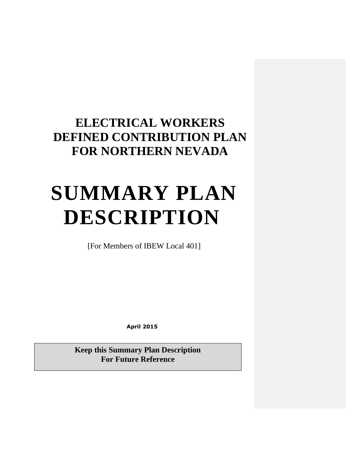## **ELECTRICAL WORKERS DEFINED CONTRIBUTION PLAN FOR NORTHERN NEVADA**

# **SUMMARY PLAN DESCRIPTION**

[For Members of IBEW Local 401]

**April 2015**

**Keep this Summary Plan Description For Future Reference**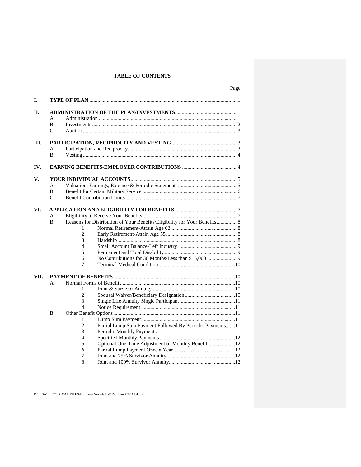#### **TABLE OF CONTENTS**

| I.   |             |                  |                                                                          |  |  |  |
|------|-------------|------------------|--------------------------------------------------------------------------|--|--|--|
| II.  |             |                  |                                                                          |  |  |  |
|      | A.          |                  |                                                                          |  |  |  |
|      | <b>B.</b>   |                  |                                                                          |  |  |  |
|      | C.          |                  |                                                                          |  |  |  |
|      |             |                  |                                                                          |  |  |  |
| Ш.   |             |                  |                                                                          |  |  |  |
|      | A.          |                  |                                                                          |  |  |  |
|      | <b>B.</b>   |                  |                                                                          |  |  |  |
| IV.  |             |                  |                                                                          |  |  |  |
|      |             |                  |                                                                          |  |  |  |
| V.   |             |                  |                                                                          |  |  |  |
|      | А.          |                  |                                                                          |  |  |  |
|      | <b>B.</b>   |                  |                                                                          |  |  |  |
|      | $C_{\cdot}$ |                  |                                                                          |  |  |  |
|      |             |                  |                                                                          |  |  |  |
| VI.  |             |                  |                                                                          |  |  |  |
|      | А.          |                  |                                                                          |  |  |  |
|      | <b>B.</b>   |                  | Reasons for Distribution of Your Benefits/Eligibility for Your Benefits8 |  |  |  |
|      |             | 1.               |                                                                          |  |  |  |
|      |             | 2.               |                                                                          |  |  |  |
|      |             | 3.               |                                                                          |  |  |  |
|      |             | $\overline{4}$ . |                                                                          |  |  |  |
|      |             | 5.               |                                                                          |  |  |  |
|      |             | б.               |                                                                          |  |  |  |
|      |             | 7.               |                                                                          |  |  |  |
| VII. |             |                  |                                                                          |  |  |  |
|      | A.          |                  |                                                                          |  |  |  |
|      |             | 1.               |                                                                          |  |  |  |
|      |             | $\overline{2}$ . |                                                                          |  |  |  |
|      |             | 3.               |                                                                          |  |  |  |
|      |             | $\mathbf{4}$ .   |                                                                          |  |  |  |
|      | <b>B.</b>   |                  |                                                                          |  |  |  |
|      |             | 1.               |                                                                          |  |  |  |
|      |             | 2.               |                                                                          |  |  |  |
|      |             | 3.               | Partial Lump Sum Payment Followed By Periodic Payments11                 |  |  |  |
|      |             |                  |                                                                          |  |  |  |
|      |             | 4.<br>5.         |                                                                          |  |  |  |
|      |             |                  | Optional One-Time Adjustment of Monthly Benefit12                        |  |  |  |
|      |             | 6.               |                                                                          |  |  |  |
|      |             | 7.               |                                                                          |  |  |  |
|      |             | 8.               |                                                                          |  |  |  |

D:\LISA\ELECTRICAL FILES\Northern Nevada EW DC Plan 7.22.15.docx ii

Page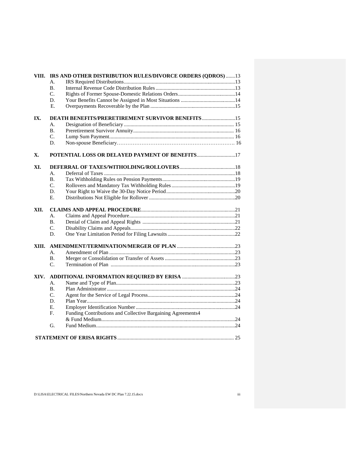|       | VIII. IRS AND OTHER DISTRIBUTION RULES/DIVORCE ORDERS (QDROS) 13  |  |  |  |  |
|-------|-------------------------------------------------------------------|--|--|--|--|
|       | А.                                                                |  |  |  |  |
|       | <b>B.</b>                                                         |  |  |  |  |
|       | C.                                                                |  |  |  |  |
|       | D.                                                                |  |  |  |  |
|       | E.                                                                |  |  |  |  |
|       |                                                                   |  |  |  |  |
| IX.   | <b>DEATH BENEFITS/PRERETIREMENT SURVIVOR BENEFITS </b> 15         |  |  |  |  |
|       | А.                                                                |  |  |  |  |
|       | <b>B.</b>                                                         |  |  |  |  |
|       | $C_{\cdot}$                                                       |  |  |  |  |
|       | D.                                                                |  |  |  |  |
| X.    |                                                                   |  |  |  |  |
| XI.   |                                                                   |  |  |  |  |
|       | A.                                                                |  |  |  |  |
|       | <b>B.</b>                                                         |  |  |  |  |
|       | C.                                                                |  |  |  |  |
|       | D.                                                                |  |  |  |  |
|       | E.                                                                |  |  |  |  |
| XII.  |                                                                   |  |  |  |  |
|       | A.                                                                |  |  |  |  |
|       | <b>B.</b>                                                         |  |  |  |  |
|       | C.                                                                |  |  |  |  |
|       | D.                                                                |  |  |  |  |
|       |                                                                   |  |  |  |  |
| XIII. |                                                                   |  |  |  |  |
|       | А.                                                                |  |  |  |  |
|       | <b>B.</b>                                                         |  |  |  |  |
|       | $C_{\cdot}$                                                       |  |  |  |  |
| XIV.  |                                                                   |  |  |  |  |
|       | А.                                                                |  |  |  |  |
|       | <b>B.</b>                                                         |  |  |  |  |
|       | C.                                                                |  |  |  |  |
|       | D.                                                                |  |  |  |  |
|       | Е.                                                                |  |  |  |  |
|       | Funding Contributions and Collective Bargaining Agreements4<br>F. |  |  |  |  |
|       |                                                                   |  |  |  |  |
|       | G.                                                                |  |  |  |  |
|       |                                                                   |  |  |  |  |
|       |                                                                   |  |  |  |  |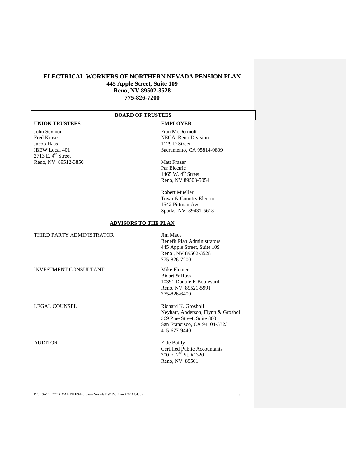#### **ELECTRICAL WORKERS OF NORTHERN NEVADA PENSION PLAN 445 Apple Street, Suite 109 Reno, NV 89502-3528 775-826-7200**

#### **BOARD OF TRUSTEES**

### **UNION TRUSTEES EMPLOYER**

John Seymour Fran McDermott<br>Fred Kruse NECA, Reno Div Jacob Haas 1129 D Street<br>
IBEW Local 401 Sacramento, C 2713 E.  $4^{\text{th}}$  Street Reno, NV 89512-3850 Matt Frazer

Fred Kruse NECA, Reno Division<br>Jacob Haas 1129 D Street Sacramento, CA 95814-0809

> Par Electric 1465 W.  $4^{\text{th}}$  Street Reno, NV 89503-5054

Robert Mueller Town & Country Electric 1542 Pittman Ave Sparks, NV 89431-5618

#### **ADVISORS TO THE PLAN**

| THIRD PARTY ADMINISTRATOR    | Jim Mace<br><b>Benefit Plan Administrators</b><br>445 Apple Street, Suite 109<br>Reno, NV 89502-3528<br>775-826-7200                     |
|------------------------------|------------------------------------------------------------------------------------------------------------------------------------------|
| <b>INVESTMENT CONSULTANT</b> | Mike Fleiner<br>Bidart & Ross<br>10391 Double R Boulevard<br>Reno, NV 89521-5991<br>775-826-6400                                         |
| <b>LEGAL COUNSEL</b>         | Richard K. Grosboll<br>Neyhart, Anderson, Flynn & Grosboll<br>369 Pine Street, Suite 800<br>San Francisco, CA 94104-3323<br>415-677-9440 |
| <b>AUDITOR</b>               | Eide Bailly<br><b>Certified Public Accountants</b><br>300 E. $2^{nd}$ St. #1320<br>Reno, NV 89501                                        |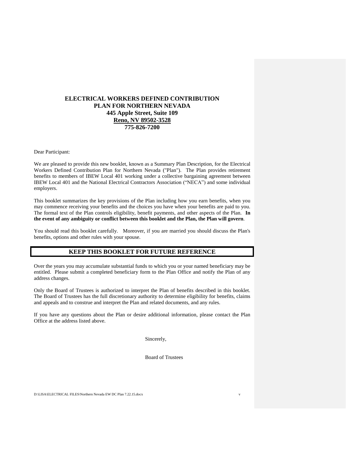#### **ELECTRICAL WORKERS DEFINED CONTRIBUTION PLAN FOR NORTHERN NEVADA 445 Apple Street, Suite 109 Reno, NV 89502-3528 775-826-7200**

Dear Participant:

We are pleased to provide this new booklet, known as a Summary Plan Description, for the Electrical Workers Defined Contribution Plan for Northern Nevada ("Plan"). The Plan provides retirement benefits to members of IBEW Local 401 working under a collective bargaining agreement between IBEW Local 401 and the National Electrical Contractors Association ("NECA") and some individual employers.

This booklet summarizes the key provisions of the Plan including how you earn benefits, when you may commence receiving your benefits and the choices you have when your benefits are paid to you. The formal text of the Plan controls eligibility, benefit payments, and other aspects of the Plan. **In the event of any ambiguity or conflict between this booklet and the Plan, the Plan will govern**.

You should read this booklet carefully. Moreover, if you are married you should discuss the Plan's benefits, options and other rules with your spouse.

#### **KEEP THIS BOOKLET FOR FUTURE REFERENCE**

Over the years you may accumulate substantial funds to which you or your named beneficiary may be entitled. Please submit a completed beneficiary form to the Plan Office and notify the Plan of any address changes.

Only the Board of Trustees is authorized to interpret the Plan of benefits described in this booklet. The Board of Trustees has the full discretionary authority to determine eligibility for benefits, claims and appeals and to construe and interpret the Plan and related documents, and any rules.

If you have any questions about the Plan or desire additional information, please contact the Plan Office at the address listed above.

Sincerely,

Board of Trustees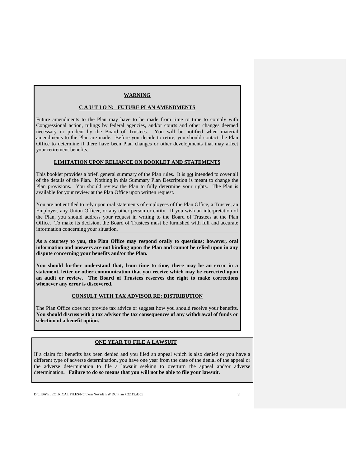#### **WARNING**

#### **C A U T I O N: FUTURE PLAN AMENDMENTS**

Future amendments to the Plan may have to be made from time to time to comply with Congressional action, rulings by federal agencies, and/or courts and other changes deemed necessary or prudent by the Board of Trustees. You will be notified when material amendments to the Plan are made. Before you decide to retire, you should contact the Plan Office to determine if there have been Plan changes or other developments that may affect your retirement benefits.

#### **LIMITATION UPON RELIANCE ON BOOKLET AND STATEMENTS**

This booklet provides a brief, general summary of the Plan rules. It is not intended to cover all of the details of the Plan. Nothing in this Summary Plan Description is meant to change the Plan provisions. You should review the Plan to fully determine your rights. The Plan is available for your review at the Plan Office upon written request.

You are not entitled to rely upon oral statements of employees of the Plan Office, a Trustee, an Employer, any Union Officer, or any other person or entity. If you wish an interpretation of the Plan, you should address your request in writing to the Board of Trustees at the Plan Office. To make its decision, the Board of Trustees must be furnished with full and accurate information concerning your situation.

**As a courtesy to you, the Plan Office may respond orally to questions; however, oral information and answers are not binding upon the Plan and cannot be relied upon in any dispute concerning your benefits and/or the Plan.**

**You should further understand that, from time to time, there may be an error in a statement, letter or other communication that you receive which may be corrected upon an audit or review. The Board of Trustees reserves the right to make corrections whenever any error is discovered.**

#### **CONSULT WITH TAX ADVISOR RE: DISTRIBUTION**

The Plan Office does not provide tax advice or suggest how you should receive your benefits. **You should discuss with a tax advisor the tax consequences of any withdrawal of funds or selection of a benefit option.**

#### **ONE YEAR TO FILE A LAWSUIT**

If a claim for benefits has been denied and you filed an appeal which is also denied or you have a different type of adverse determination, you have one year from the date of the denial of the appeal or the adverse determination to file a lawsuit seeking to overturn the appeal and/or adverse determination**. Failure to do so means that you will not be able to file your lawsuit.**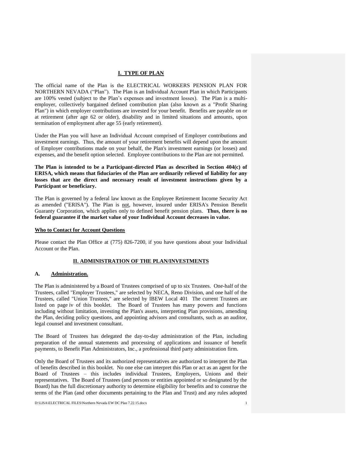#### **I. TYPE OF PLAN**

The official name of the Plan is the ELECTRICAL WORKERS PENSION PLAN FOR NORTHERN NEVADA ("Plan"). The Plan is an Individual Account Plan in which Participants are 100% vested (subject to the Plan's expenses and investment losses). The Plan is a multiemployer, collectively bargained defined contribution plan (also known as a "Profit Sharing Plan") in which employer contributions are invested for your benefit. Benefits are payable on or at retirement (after age 62 or older), disability and in limited situations and amounts, upon termination of employment after age 55 (early retirement).

Under the Plan you will have an Individual Account comprised of Employer contributions and investment earnings. Thus, the amount of your retirement benefits will depend upon the amount of Employer contributions made on your behalf, the Plan's investment earnings (or losses) and expenses, and the benefit option selected. Employee contributions to the Plan are not permitted.

**The Plan is intended to be a Participant-directed Plan as described in Section 404(c) of ERISA, which means that fiduciaries of the Plan are ordinarily relieved of liability for any losses that are the direct and necessary result of investment instructions given by a Participant or beneficiary.**

The Plan is governed by a federal law known as the Employee Retirement Income Security Act as amended ("ERISA"). The Plan is not, however, insured under ERISA's Pension Benefit Guaranty Corporation, which applies only to defined benefit pension plans. **Thus, there is no federal guarantee if the market value of your Individual Account decreases in value.**

#### **Who to Contact for Account Questions**

Please contact the Plan Office at (775) 826-7200, if you have questions about your Individual Account or the Plan.

#### **II. ADMINISTRATION OF THE PLAN/INVESTMENTS**

#### **A. Administration.**

The Plan is administered by a Board of Trustees comprised of up to six Trustees. One-half of the Trustees, called "Employer Trustees," are selected by NECA, Reno Division, and one half of the Trustees, called "Union Trustees," are selected by IBEW Local 401 The current Trustees are listed on page iv of this booklet. The Board of Trustees has many powers and functions including without limitation, investing the Plan's assets, interpreting Plan provisions, amending the Plan, deciding policy questions, and appointing advisors and consultants, such as an auditor, legal counsel and investment consultant.

The Board of Trustees has delegated the day-to-day administration of the Plan, including preparation of the annual statements and processing of applications and issuance of benefit payments, to Benefit Plan Administrators, Inc., a professional third party administration firm.

Only the Board of Trustees and its authorized representatives are authorized to interpret the Plan of benefits described in this booklet. No one else can interpret this Plan or act as an agent for the Board of Trustees – this includes individual Trustees, Employers, Unions and their representatives. The Board of Trustees (and persons or entities appointed or so designated by the Board) has the full discretionary authority to determine eligibility for benefits and to construe the terms of the Plan (and other documents pertaining to the Plan and Trust) and any rules adopted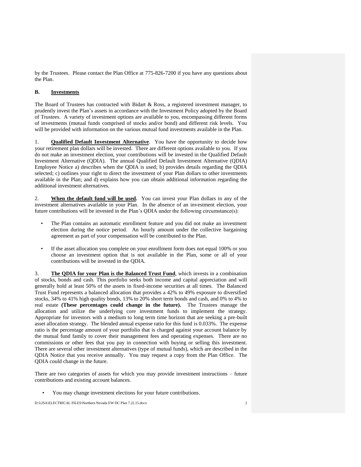by the Trustees. Please contact the Plan Office at 775-826-7200 if you have any questions about the Plan.

#### **B. Investments**

The Board of Trustees has contracted with Bidart & Ross, a registered investment manager, to prudently invest the Plan's assets in accordance with the Investment Policy adopted by the Board of Trustees. A variety of investment options are available to you, encompassing different forms of investments (mutual funds comprised of stocks and/or bond) and different risk levels. You will be provided with information on the various mutual fund investments available in the Plan.

1. **Qualified Default Investment Alternative**. You have the opportunity to decide how your retirement plan dollars will be invested. There are different options available to you. If you do not make an investment election, your contributions will be invested in the Qualified Default Investment Alternative (QDIA). The annual Qualified Default Investment Alternative (QDIA) Employee Notice a) describes when the QDIA is used; b) provides details regarding the QDIA selected; c) outlines your right to direct the investment of your Plan dollars to other investments available in the Plan; and d) explains how you can obtain additional information regarding the additional investment alternatives.

2. **When the default fund will be used.** You can invest your Plan dollars in any of the investment alternatives available in your Plan. In the absence of an investment election, your future contributions will be invested in the Plan's QDIA under the following circumstance(s):

- The Plan contains an automatic enrollment feature and you did not make an investment election during the notice period. An hourly amount under the collective bargaining agreement as part of your compensation will be contributed to the Plan.
- If the asset allocation you complete on your enrollment form does not equal 100% or you choose an investment option that is not available in the Plan, some or all of your contributions will be invested in the QDIA.

3. **The QDIA for your Plan is the Balanced Trust Fund**, which invests in a combination of stocks, bonds and cash. This portfolio seeks both income and capital appreciation and will generally hold at least 50% of the assets in fixed-income securities at all times. The Balanced Trust Fund represents a balanced allocation that provides a 42% to 49% exposure to diversified stocks, 34% to 41% high quality bonds, 13% to 20% short term bonds and cash, and 0% to 4% to real estate **(These percentages could change in the future).** The Trustees manage the allocation and utilize the underlying core investment funds to implement the strategy. Appropriate for investors with a medium to long term time horizon that are seeking a pre-built asset allocation strategy. The blended annual expense ratio for this fund is 0.033%. The expense ratio is the percentage amount of your portfolio that is charged against your account balance by the mutual fund family to cover their management fees and operating expenses. There are no commissions or other fees that you pay in connection with buying or selling this investment. There are several other investment alternatives (type of mutual funds), which are described in the QDIA Notice that you receive annually. You may request a copy from the Plan Office. The QDIA could change in the future.

There are two categories of assets for which you may provide investment instructions – future contributions and existing account balances.

• You may change investment elections for your future contributions.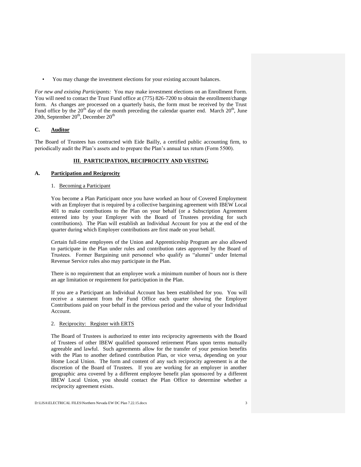• You may change the investment elections for your existing account balances.

*For new and existing Participants:* You may make investment elections on an Enrollment Form. You will need to contact the Trust Fund office at (775) 826-7200 to obtain the enrollment/change form. As changes are processed on a quarterly basis, the form must be received by the Trust Fund office by the  $20<sup>th</sup>$  day of the month preceding the calendar quarter end. March  $20<sup>th</sup>$ , June 20th, September  $20<sup>th</sup>$ , December  $20<sup>th</sup>$ 

#### **C. Auditor**

The Board of Trustees has contracted with Eide Bailly, a certified public accounting firm, to periodically audit the Plan's assets and to prepare the Plan's annual tax return (Form 5500).

#### **III. PARTICIPATION, RECIPROCITY AND VESTING**

#### **A. Participation and Reciprocity**

#### 1. Becoming a Participant

You become a Plan Participant once you have worked an hour of Covered Employment with an Employer that is required by a collective bargaining agreement with IBEW Local 401 to make contributions to the Plan on your behalf (or a Subscription Agreement entered into by your Employer with the Board of Trustees providing for such contributions). The Plan will establish an Individual Account for you at the end of the quarter during which Employer contributions are first made on your behalf.

Certain full-time employees of the Union and Apprenticeship Program are also allowed to participate in the Plan under rules and contribution rates approved by the Board of Trustees. Former Bargaining unit personnel who qualify as "alumni" under Internal Revenue Service rules also may participate in the Plan.

There is no requirement that an employee work a minimum number of hours nor is there an age limitation or requirement for participation in the Plan.

If you are a Participant an Individual Account has been established for you. You will receive a statement from the Fund Office each quarter showing the Employer Contributions paid on your behalf in the previous period and the value of your Individual Account.

#### 2. Reciprocity: Register with ERTS

The Board of Trustees is authorized to enter into reciprocity agreements with the Board of Trustees of other IBEW qualified sponsored retirement Plans upon terms mutually agreeable and lawful. Such agreements allow for the transfer of your pension benefits with the Plan to another defined contribution Plan, or vice versa, depending on your Home Local Union. The form and content of any such reciprocity agreement is at the discretion of the Board of Trustees. If you are working for an employer in another geographic area covered by a different employee benefit plan sponsored by a different IBEW Local Union, you should contact the Plan Office to determine whether a reciprocity agreement exists.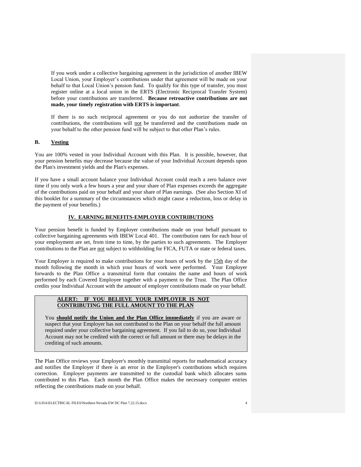If you work under a collective bargaining agreement in the jurisdiction of another IBEW Local Union, your Employer's contributions under that agreement will be made on your behalf to that Local Union's pension fund. To qualify for this type of transfer, you must register online at a local union in the ERTS (Electronic Reciprocal Transfer System) before your contributions are transferred. **Because retroactive contributions are not made, your timely registration with ERTS is important**.

If there is no such reciprocal agreement or you do not authorize the transfer of contributions, the contributions will not be transferred and the contributions made on your behalf to the other pension fund will be subject to that other Plan's rules.

#### **B. Vesting**

You are 100% vested in your Individual Account with this Plan. It is possible, however, that your pension benefits may decrease because the value of your Individual Account depends upon the Plan's investment yields and the Plan's expenses.

If you have a small account balance your Individual Account could reach a zero balance over time if you only work a few hours a year and your share of Plan expenses exceeds the aggregate of the contributions paid on your behalf and your share of Plan earnings. (See also Section XI of this booklet for a summary of the circumstances which might cause a reduction, loss or delay in the payment of your benefits.)

#### **IV. EARNING BENEFITS-EMPLOYER CONTRIBUTIONS**

Your pension benefit is funded by Employer contributions made on your behalf pursuant to collective bargaining agreements with IBEW Local 401. The contribution rates for each hour of your employment are set, from time to time, by the parties to such agreements. The Employer contributions to the Plan are not subject to withholding for FICA, FUTA or state or federal taxes.

Your Employer is required to make contributions for your hours of work by the 15th day of the month following the month in which your hours of work were performed. Your Employer forwards to the Plan Office a transmittal form that contains the name and hours of work performed by each Covered Employee together with a payment to the Trust. The Plan Office credits your Individual Account with the amount of employer contributions made on your behalf.

#### **ALERT: IF YOU BELIEVE YOUR EMPLOYER IS NOT CONTRIBUTING THE FULL AMOUNT TO THE PLAN**

You **should** notify the Union and the Plan Office immediately if you are aware or suspect that your Employer has not contributed to the Plan on your behalf the full amount required under your collective bargaining agreement. If you fail to do so, your Individual Account may not be credited with the correct or full amount or there may be delays in the crediting of such amounts.

The Plan Office reviews your Employer's monthly transmittal reports for mathematical accuracy and notifies the Employer if there is an error in the Employer's contributions which requires correction. Employer payments are transmitted to the custodial bank which allocates sums contributed to this Plan. Each month the Plan Office makes the necessary computer entries reflecting the contributions made on your behalf.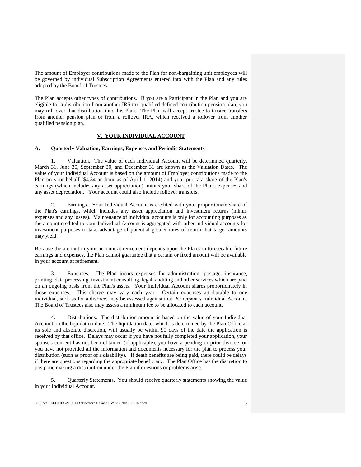The amount of Employer contributions made to the Plan for non-bargaining unit employees will be governed by individual Subscription Agreements entered into with the Plan and any rules adopted by the Board of Trustees.

The Plan accepts other types of contributions. If you are a Participant in the Plan and you are eligible for a distribution from another IRS tax-qualified defined contribution pension plan, you may roll over that distribution into this Plan. The Plan will accept trustee-to-trustee transfers from another pension plan or from a rollover IRA, which received a rollover from another qualified pension plan.

#### **V. YOUR INDIVIDUAL ACCOUNT**

#### **A. Quarterly Valuation, Earnings, Expenses and Periodic Statements**

1. Valuation. The value of each Individual Account will be determined quarterly. March 31, June 30, September 30, and December 31 are known as the Valuation Dates. The value of your Individual Account is based on the amount of Employer contributions made to the Plan on your behalf (\$4.34 an hour as of April 1, 2014) and your pro rata share of the Plan's earnings (which includes any asset appreciation), minus your share of the Plan's expenses and any asset depreciation. Your account could also include rollover transfers.

2. Earnings. Your Individual Account is credited with your proportionate share of the Plan's earnings, which includes any asset appreciation and investment returns (minus expenses and any losses). Maintenance of individual accounts is only for accounting purposes as the amount credited to your Individual Account is aggregated with other individual accounts for investment purposes to take advantage of potential greater rates of return that larger amounts may yield.

Because the amount in your account at retirement depends upon the Plan's unforeseeable future earnings and expenses, the Plan cannot guarantee that a certain or fixed amount will be available in your account at retirement.

3. Expenses. The Plan incurs expenses for administration, postage, insurance, printing, data processing, investment consulting, legal, auditing and other services which are paid on an ongoing basis from the Plan's assets. Your Individual Account shares proportionately in those expenses. This charge may vary each year. Certain expenses attributable to one individual, such as for a divorce, may be assessed against that Participant's Individual Account. The Board of Trustees also may assess a minimum fee to be allocated to each account.

4. Distributions. The distribution amount is based on the value of your Individual Account on the liquidation date. The liquidation date, which is determined by the Plan Office at its sole and absolute discretion, will usually be within 90 days of the date the application is received by that office. Delays may occur if you have not fully completed your application, your spouse's consent has not been obtained (if applicable), you have a pending or prior divorce, or you have not provided all the information and documents necessary for the plan to process your distribution (such as proof of a disability). If death benefits are being paid, there could be delays if there are questions regarding the appropriate beneficiary. The Plan Office has the discretion to postpone making a distribution under the Plan if questions or problems arise.

5. Quarterly Statements. You should receive quarterly statements showing the value in your Individual Account.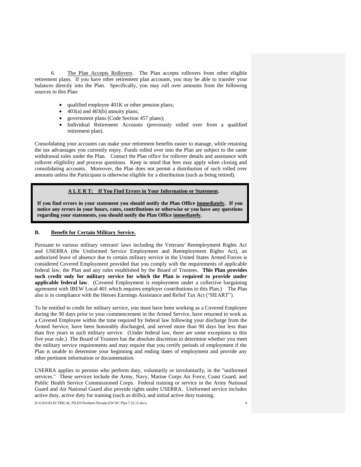6. The Plan Accepts Rollovers. The Plan accepts rollovers from other eligible retirement plans. If you have other retirement plan accounts, you may be able to transfer your balances directly into the Plan. Specifically, you may roll over amounts from the following sources to this Plan:

- $\bullet$  qualified employee 401K or other pension plans;
- $\bullet$  403(a) and 403(b) annuity plans;
- government plans (Code Section 457 plans);
- Individual Retirement Accounts (previously rolled over from a qualified retirement plan).

Consolidating your accounts can make your retirement benefits easier to manage, while retaining the tax advantages you currently enjoy. Funds rolled over into the Plan are subject to the same withdrawal rules under the Plan. Contact the Plan office for rollover details and assistance with rollover eligibility and process questions. Keep in mind that fees may apply when closing and consolidating accounts. Moreover, the Plan does not permit a distribution of such rolled over amounts unless the Participant is otherwise eligible for a distribution (such as being retired).

#### **A L E R T: If You Find Errors in Your Information or Statement.**

**If you find errors in your statement you should notify the Plan Office immediately. If you notice any errors in your hours, rates, contributions or otherwise or you have any questions regarding your statements, you should notify the Plan Office immediately.**

#### **B. Benefit for Certain Military Service.**

Pursuant to various military veterans' laws including the Veterans' Reemployment Rights Act and USERRA (the Uniformed Service Employment and Reemployment Rights Act), an authorized leave of absence due to certain military service in the United States Armed Forces is considered Covered Employment provided that you comply with the requirements of applicable federal law, the Plan and any rules established by the Board of Trustees. **This Plan provides such credit only for military service for which the Plan is required to provide under applicable federal law**. (Covered Employment is employment under a collective bargaining agreement with IBEW Local 401 which requires employer contributions to this Plan.) The Plan also is in compliance with the Heroes Earnings Assistance and Relief Tax Act ("HEART").

To be entitled to credit for military service, you must have been working as a Covered Employee during the 90 days prior to your commencement in the Armed Service, have returned to work as a Covered Employee within the time required by federal law following your discharge from the Armed Service, have been honorably discharged, and served more than 90 days but less than than five years in such military service. (Under federal law, there are some exceptions to this five year rule.) The Board of Trustees has the absolute discretion to determine whether you meet the military service requirements and may require that you certify periods of employment if the Plan is unable to determine your beginning and ending dates of employment and provide any other pertinent information or documentation.

USERRA applies to persons who perform duty, voluntarily or involuntarily, in the "uniformed services." These services include the Army, Navy, Marine Corps Air Force, Coast Guard, and Public Health Service Commissioned Corps. Federal training or service in the Army National Guard and Air National Guard also provide rights under USERRA. Uniformed service includes active duty, active duty for training (such as drills), and initial active duty training.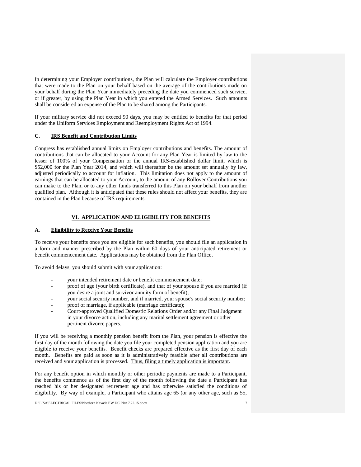In determining your Employer contributions, the Plan will calculate the Employer contributions that were made to the Plan on your behalf based on the average of the contributions made on your behalf during the Plan Year immediately preceding the date you commenced such service, or if greater, by using the Plan Year in which you entered the Armed Services. Such amounts shall be considered an expense of the Plan to be shared among the Participants.

If your military service did not exceed 90 days, you may be entitled to benefits for that period under the Uniform Services Employment and Reemployment Rights Act of 1994.

#### **C. IRS Benefit and Contribution Limits**

Congress has established annual limits on Employer contributions and benefits. The amount of contributions that can be allocated to your Account for any Plan Year is limited by law to the lesser of 100% of your Compensation or the annual IRS-established dollar limit, which is \$52,000 for the Plan Year 2014, and which will thereafter be the amount set annually by law, adjusted periodically to account for inflation. This limitation does not apply to the amount of earnings that can be allocated to your Account, to the amount of any Rollover Contributions you can make to the Plan, or to any other funds transferred to this Plan on your behalf from another qualified plan. Although it is anticipated that these rules should not affect your benefits, they are contained in the Plan because of IRS requirements.

#### **VI. APPLICATION AND ELIGIBILITY FOR BENEFITS**

#### **A. Eligibility to Receive Your Benefits**

To receive your benefits once you are eligible for such benefits, you should file an application in a form and manner prescribed by the Plan within 60 days of your anticipated retirement or benefit commencement date. Applications may be obtained from the Plan Office.

To avoid delays, you should submit with your application:

- your intended retirement date or benefit commencement date;
- proof of age (your birth certificate), and that of your spouse if you are married (if you desire a joint and survivor annuity form of benefit);
- your social security number, and if married, your spouse's social security number;
- proof of marriage, if applicable (marriage certificate);
- Court-approved Qualified Domestic Relations Order and/or any Final Judgment in your divorce action, including any marital settlement agreement or other pertinent divorce papers.

If you will be receiving a monthly pension benefit from the Plan, your pension is effective the first day of the month following the date you file your completed pension application and you are eligible to receive your benefits. Benefit checks are prepared effective as the first day of each month. Benefits are paid as soon as it is administratively feasible after all contributions are received and your application is processed. Thus, filing a timely application is important.

For any benefit option in which monthly or other periodic payments are made to a Participant, the benefits commence as of the first day of the month following the date a Participant has reached his or her designated retirement age and has otherwise satisfied the conditions of eligibility. By way of example, a Participant who attains age 65 (or any other age, such as 55,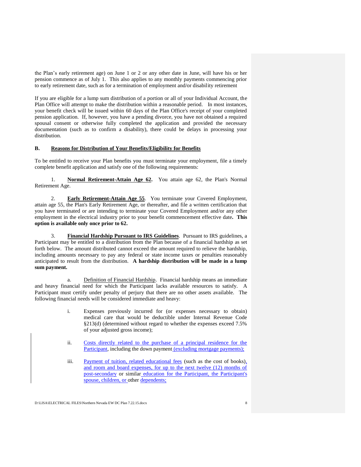the Plan's early retirement age) on June 1 or 2 or any other date in June, will have his or her pension commence as of July 1. This also applies to any monthly payments commencing prior to early retirement date, such as for a termination of employment and/or disability retirement

If you are eligible for a lump sum distribution of a portion or all of your Individual Account, the Plan Office will attempt to make the distribution within a reasonable period. In most instances, your benefit check will be issued within 60 days of the Plan Office's receipt of your completed pension application. If, however, you have a pending divorce, you have not obtained a required spousal consent or otherwise fully completed the application and provided the necessary documentation (such as to confirm a disability), there could be delays in processing your distribution.

#### **B. Reasons for Distribution of Your Benefits/Eligibility for Benefits**

To be entitled to receive your Plan benefits you must terminate your employment, file a timely complete benefit application and satisfy one of the following requirements:

1. **Normal Retirement-Attain Age 62.** You attain age 62, the Plan's Normal Retirement Age.

2. **Early Retirement-Attain Age 55**. You terminate your Covered Employment, attain age 55, the Plan's Early Retirement Age, or thereafter, and file a written certification that you have terminated or are intending to terminate your Covered Employment and/or any other employment in the electrical industry prior to your benefit commencement effective date**. This option is available only once prior to 62.**

3. **Financial Hardship Pursuant to IRS Guidelines**. Pursuant to IRS guidelines, a Participant may be entitled to a distribution from the Plan because of a financial hardship as set forth below. The amount distributed cannot exceed the amount required to relieve the hardship, including amounts necessary to pay any federal or state income taxes or penalties reasonably anticipated to result from the distribution. **A hardship distribution will be made in a lump sum payment.**

a. Definition of Financial Hardship. Financial hardship means an immediate and heavy financial need for which the Participant lacks available resources to satisfy. A Participant must certify under penalty of perjury that there are no other assets available. The following financial needs will be considered immediate and heavy:

- i. Expenses previously incurred for (or expenses necessary to obtain) medical care that would be deductible under Internal Revenue Code §213(d) (determined without regard to whether the expenses exceed 7.5% of your adjusted gross income);
- ii. Costs directly related to the purchase of a principal residence for the Participant, including the down payment (excluding mortgage payments);
- iii. Payment of tuition, related educational fees (such as the cost of books), and room and board expenses, for up to the next twelve (12) months of post-secondary or similar education for the Participant, the Participant's spouse, children, or other dependents;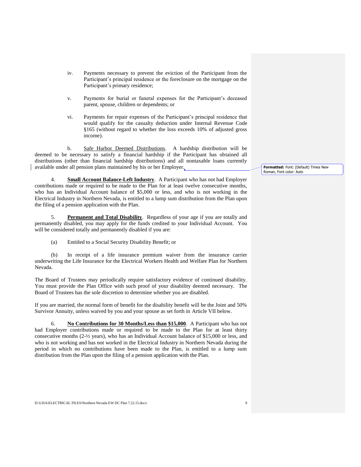- iv. Payments necessary to prevent the eviction of the Participant from the Participant's principal residence or the foreclosure on the mortgage on the Participant's primary residence;
- v. Payments for burial or funeral expenses for the Participant's deceased parent, spouse, children or dependents; or
- vi. Payments for repair expenses of the Participant's principal residence that would qualify for the casualty deduction under Internal Revenue Code §165 (without regard to whether the loss exceeds 10% of adjusted gross income).

b. Safe Harbor Deemed Distributions. A hardship distribution will be deemed to be necessary to satisfy a financial hardship if the Participant has obtained all distributions (other than financial hardship distributions) and all nontaxable loans currently available under all pension plans maintained by his or her Employer.

4. **Small Account Balance-Left Industry**. A Participant who has not had Employer contributions made or required to be made to the Plan for at least twelve consecutive months, who has an Individual Account balance of \$5,000 or less, and who is not working in the Electrical Industry in Northern Nevada, is entitled to a lump sum distribution from the Plan upon the filing of a pension application with the Plan.

5. **Permanent and Total Disability**. Regardless of your age if you are totally and permanently disabled, you may apply for the funds credited to your Individual Account. You will be considered totally and permanently disabled if you are:

(a) Entitled to a Social Security Disability Benefit; or

(b) In receipt of a life insurance premium waiver from the insurance carrier underwriting the Life Insurance for the Electrical Workers Health and Welfare Plan for Northern Nevada.

The Board of Trustees may periodically require satisfactory evidence of continued disability. You must provide the Plan Office with such proof of your disability deemed necessary. The Board of Trustees has the sole discretion to determine whether you are disabled.

If you are married, the normal form of benefit for the disability benefit will be the Joint and 50% Survivor Annuity, unless waived by you and your spouse as set forth in Article VII below.

6. **No Contributions for 30 Months/Less than \$15,000**. A Participant who has not had Employer contributions made or required to be made to the Plan for at least thirty consecutive months (2-½ years), who has an Individual Account balance of \$15,000 or less, and who is not working and has not worked in the Electrical Industry in Northern Nevada during the period in which no contributions have been made to the Plan, is entitled to a lump sum distribution from the Plan upon the filing of a pension application with the Plan.

**Formatted:** Font: (Default) Times New Roman, Font color: Auto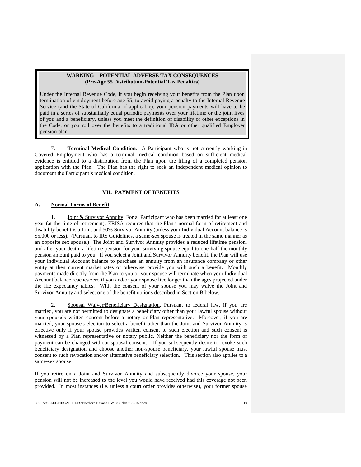#### **WARNING – POTENTIAL ADVERSE TAX CONSEQUENCES (Pre-Age 55 Distribution-Potential Tax Penalties)**

the Code, or you roll over the benefits to a traditional IRA or other qualified Employer<br>pension plan Under the Internal Revenue Code, if you begin receiving your benefits from the Plan upon termination of employment before age 55, to avoid paying a penalty to the Internal Revenue Service (and the State of California, if applicable), your pension payments will have to be paid in a series of substantially equal periodic payments over your lifetime or the joint lives of you and a beneficiary, unless you meet the definition of disability or other exceptions in pension plan.

7. **Terminal Medical Condition**. A Participant who is not currently working in Covered Employment who has a terminal medical condition based on sufficient medical evidence is entitled to a distribution from the Plan upon the filing of a completed pension application with the Plan. The Plan has the right to seek an independent medical opinion to document the Participant's medical condition.

#### **VII. PAYMENT OF BENEFITS**

#### **A. Normal Forms of Benefit**

1. Joint & Survivor Annuity. For a Participant who has been married for at least one year (at the time of retirement), ERISA requires that the Plan's normal form of retirement and disability benefit is a Joint and 50% Survivor Annuity (unless your Individual Account balance is \$5,000 or less). (Pursuant to IRS Guidelines, a same-sex spouse is treated in the same manner as an opposite sex spouse.) The Joint and Survivor Annuity provides a reduced lifetime pension, and after your death, a lifetime pension for your surviving spouse equal to one-half the monthly pension amount paid to you. If you select a Joint and Survivor Annuity benefit, the Plan will use your Individual Account balance to purchase an annuity from an insurance company or other entity at then current market rates or otherwise provide you with such a benefit. Monthly payments made directly from the Plan to you or your spouse will terminate when your Individual Account balance reaches zero if you and/or your spouse live longer than the ages projected under the life expectancy tables. With the consent of your spouse you may waive the Joint and Survivor Annuity and select one of the benefit options described in Section B below.

2. Spousal Waiver/Beneficiary Designation. Pursuant to federal law, if you are married, you are not permitted to designate a beneficiary other than your lawful spouse without your spouse's written consent before a notary or Plan representative. Moreover, if you are married, your spouse's election to select a benefit other than the Joint and Survivor Annuity is effective only if your spouse provides written consent to such election and such consent is witnessed by a Plan representative or notary public. Neither the beneficiary nor the form of payment can be changed without spousal consent. If you subsequently desire to revoke such beneficiary designation and choose another non-spouse beneficiary, your lawful spouse must consent to such revocation and/or alternative beneficiary selection. This section also applies to a same-sex spouse.

If you retire on a Joint and Survivor Annuity and subsequently divorce your spouse, your pension will not be increased to the level you would have received had this coverage not been provided. In most instances (i.e. unless a court order provides otherwise), your former spouse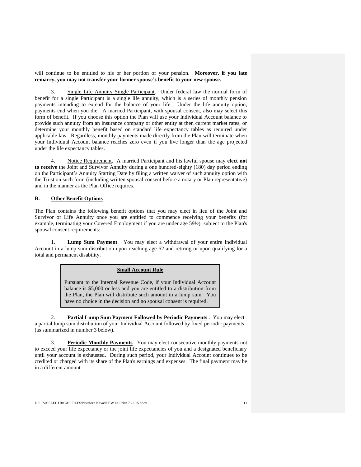will continue to be entitled to his or her portion of your pension. **Moreover, if you late remarry, you may not transfer your former spouse's benefit to your new spouse.**

3. Single Life Annuity Single Participant. Under federal law the normal form of benefit for a single Participant is a single life annuity, which is a series of monthly pension payments intending to extend for the balance of your life. Under the life annuity option, payments end when you die. A married Participant, with spousal consent, also may select this form of benefit. If you choose this option the Plan will use your Individual Account balance to provide such annuity from an insurance company or other entity at then current market rates, or determine your monthly benefit based on standard life expectancy tables as required under applicable law. Regardless, monthly payments made directly from the Plan will terminate when your Individual Account balance reaches zero even if you live longer than the age projected under the life expectancy tables.

4. Notice Requirement. A married Participant and his lawful spouse may **elect not to receive** the Joint and Survivor Annuity during a one hundred-eighty (180) day period ending on the Participant's Annuity Starting Date by filing a written waiver of such annuity option with the Trust on such form (including written spousal consent before a notary or Plan representative) and in the manner as the Plan Office requires.

#### **B. Other Benefit Options**

The Plan contains the following benefit options that you may elect in lieu of the Joint and Survivor or Life Annuity once you are entitled to commence receiving your benefits (for example, terminating your Covered Employment if you are under age 59½), subject to the Plan's spousal consent requirements:

1. **Lump Sum Payment**. You may elect a withdrawal of your entire Individual Account in a lump sum distribution upon reaching age 62 and retiring or upon qualifying for a total and permanent disability.

#### **Small Account Rule**

Pursuant to the Internal Revenue Code, if your Individual Account balance is \$5,000 or less and you are entitled to a distribution from the Plan, the Plan will distribute such amount in a lump sum. You have no choice in the decision and no spousal consent is required.

2. **Partial Lump Sum Payment Followed by Periodic Payments** . You may elect a partial lump sum distribution of your Individual Account followed by fixed periodic payments (as summarized in number 3 below).

3. **Periodic Monthly Payments**. You may elect consecutive monthly payments not to exceed your life expectancy or the joint life expectancies of you and a designated beneficiary until your account is exhausted. During such period, your Individual Account continues to be credited or charged with its share of the Plan's earnings and expenses. The final payment may be in a different amount.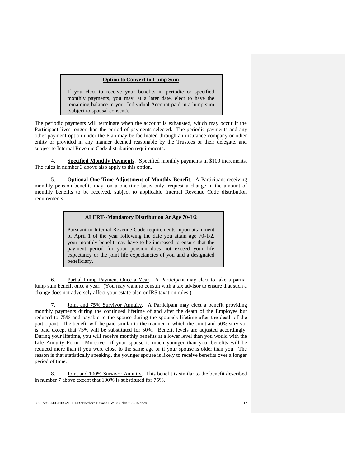#### **Option to Convert to Lump Sum**

If you elect to receive your benefits in periodic or specified monthly payments, you may, at a later date, elect to have the remaining balance in your Individual Account paid in a lump sum (subject to spousal consent).

The periodic payments will terminate when the account is exhausted, which may occur if the Participant lives longer than the period of payments selected. The periodic payments and any other payment option under the Plan may be facilitated through an insurance company or other entity or provided in any manner deemed reasonable by the Trustees or their delegate, and subject to Internal Revenue Code distribution requirements.

**Specified Monthly Payments**. Specified monthly payments in \$100 increments. The rules in number 3 above also apply to this option.

5. **Optional One-Time Adjustment of Monthly Benefit**. A Participant receiving monthly pension benefits may, on a one-time basis only, request a change in the amount of monthly benefits to be received, subject to applicable Internal Revenue Code distribution requirements.

#### **ALERT--Mandatory Distribution At Age 70-1/2**

Pursuant to Internal Revenue Code requirements, upon attainment of April 1 of the year following the date you attain age 70-1/2, your monthly benefit may have to be increased to ensure that the payment period for your pension does not exceed your life expectancy or the joint life expectancies of you and a designated beneficiary.

6. Partial Lump Payment Once a Year. A Participant may elect to take a partial lump sum benefit once a year. (You may want to consult with a tax advisor to ensure that such a change does not adversely affect your estate plan or IRS taxation rules.)

7. Joint and 75% Survivor Annuity. A Participant may elect a benefit providing monthly payments during the continued lifetime of and after the death of the Employee but reduced to 75% and payable to the spouse during the spouse's lifetime after the death of the participant. The benefit will be paid similar to the manner in which the Joint and 50% survivor is paid except that 75% will be substituted for 50%. Benefit levels are adjusted accordingly. During your lifetime, you will receive monthly benefits at a lower level than you would with the Life Annuity Form. Moreover, if your spouse is much younger than you, benefits will be reduced more than if you were close to the same age or if your spouse is older than you. The reason is that statistically speaking, the younger spouse is likely to receive benefits over a longer period of time.

8. Joint and 100% Survivor Annuity. This benefit is similar to the benefit described in number 7 above except that 100% is substituted for 75%.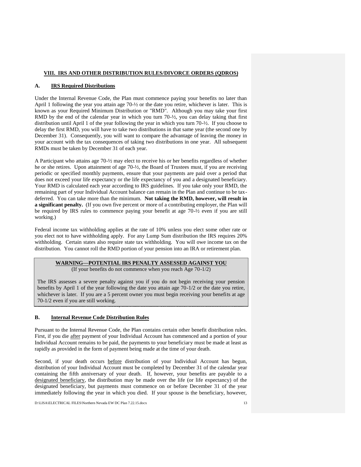#### **VIII. IRS AND OTHER DISTRIBUTION RULES/DIVORCE ORDERS (QDROS)**

#### **A. IRS Required Distributions**

Under the Internal Revenue Code, the Plan must commence paying your benefits no later than April 1 following the year you attain age 70-½ or the date you retire, whichever is later. This is known as your Required Minimum Distribution or "RMD". Although you may take your first RMD by the end of the calendar year in which you turn 70-½, you can delay taking that first distribution until April 1 of the year following the year in which you turn 70-½. If you choose to delay the first RMD, you will have to take two distributions in that same year (the second one by December 31). Consequently, you will want to compare the advantage of leaving the money in your account with the tax consequences of taking two distributions in one year. All subsequent RMDs must be taken by December 31 of each year.

A Participant who attains age 70-½ may elect to receive his or her benefits regardless of whether he or she retires. Upon attainment of age 70-½, the Board of Trustees must, if you are receiving periodic or specified monthly payments, ensure that your payments are paid over a period that does not exceed your life expectancy or the life expectancy of you and a designated beneficiary. Your RMD is calculated each year according to IRS guidelines. If you take only your RMD, the remaining part of your Individual Account balance can remain in the Plan and continue to be taxdeferred. You can take more than the minimum. **Not taking the RMD, however, will result in a significant penalty.** (If you own five percent or more of a contributing employer, the Plan will be required by IRS rules to commence paying your benefit at age 70-½ even if you are still working.)

Federal income tax withholding applies at the rate of 10% unless you elect some other rate or you elect not to have withholding apply. For any Lump Sum distribution the IRS requires 20% withholding. Certain states also require state tax withholding. You will owe income tax on the distribution. You cannot roll the RMD portion of your pension into an IRA or retirement plan.

#### **WARNING—POTENTIAL IRS PENALTY ASSESSED AGAINST YOU** (If your benefits do not commence when you reach Age 70-1/2)

whichever is later. If you are a 5 percent owner you must begin receiving your benefits at age Pursuant to the Internal Revenue Code, the Plan contains certain other benefit distribution rules. The IRS assesses a severe penalty against you if you do not begin receiving your pension benefits by April 1 of the year following the date you attain age 70-1/2 or the date you retire, 70-1/2 even if you are still working.

#### **B. Internal Revenue Code Distribution Rules**

Pursuant to the Internal Revenue Code, the Plan contains certain other benefit distribution rules. First, if you die after payment of your Individual Account has commenced and a portion of your Individual Account remains to be paid, the payments to your beneficiary must be made at least as rapidly as provided in the form of payment being made at the time of your death.

Second, if your death occurs before distribution of your Individual Account has begun, distribution of your Individual Account must be completed by December 31 of the calendar year containing the fifth anniversary of your death. If, however, your benefits are payable to a designated beneficiary, the distribution may be made over the life (or life expectancy) of the designated beneficiary, but payments must commence on or before December 31 of the year immediately following the year in which you died. If your spouse is the beneficiary, however,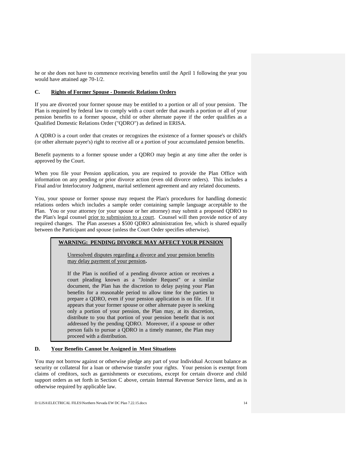he or she does not have to commence receiving benefits until the April 1 following the year you would have attained age 70-1/2.

#### **C. Rights of Former Spouse - Domestic Relations Orders**

If you are divorced your former spouse may be entitled to a portion or all of your pension. The Plan is required by federal law to comply with a court order that awards a portion or all of your pension benefits to a former spouse, child or other alternate payee if the order qualifies as a Qualified Domestic Relations Order ("QDRO") as defined in ERISA.

A QDRO is a court order that creates or recognizes the existence of a former spouse's or child's (or other alternate payee's) right to receive all or a portion of your accumulated pension benefits.

Benefit payments to a former spouse under a QDRO may begin at any time after the order is approved by the Court.

When you file your Pension application, you are required to provide the Plan Office with information on any pending or prior divorce action (even old divorce orders). This includes a Final and/or Interlocutory Judgment, marital settlement agreement and any related documents.

You, your spouse or former spouse may request the Plan's procedures for handling domestic relations orders which includes a sample order containing sample language acceptable to the Plan. You or your attorney (or your spouse or her attorney) may submit a proposed QDRO to the Plan's legal counsel prior to submission to a court. Counsel will then provide notice of any required changes. The Plan assesses a \$500 QDRO administration fee, which is shared equally between the Participant and spouse (unless the Court Order specifies otherwise).

#### **WARNING: PENDING DIVORCE MAY AFFECT YOUR PENSION**

Unresolved disputes regarding a divorce and your pension benefits may delay payment of your pension**.** 

If the Plan is notified of a pending divorce action or receives a court pleading known as a "Joinder Request" or a similar document, the Plan has the discretion to delay paying your Plan benefits for a reasonable period to allow time for the parties to prepare a QDRO, even if your pension application is on file. If it appears that your former spouse or other alternate payee is seeking only a portion of your pension, the Plan may, at its discretion, distribute to you that portion of your pension benefit that is not addressed by the pending QDRO. Moreover, if a spouse or other person fails to pursue a QDRO in a timely manner, the Plan may proceed with a distribution.

#### **D. Your Benefits Cannot be Assigned in Most Situations**

You may not borrow against or otherwise pledge any part of your Individual Account balance as security or collateral for a loan or otherwise transfer your rights. Your pension is exempt from claims of creditors, such as garnishments or executions, except for certain divorce and child support orders as set forth in Section C above, certain Internal Revenue Service liens, and as is otherwise required by applicable law.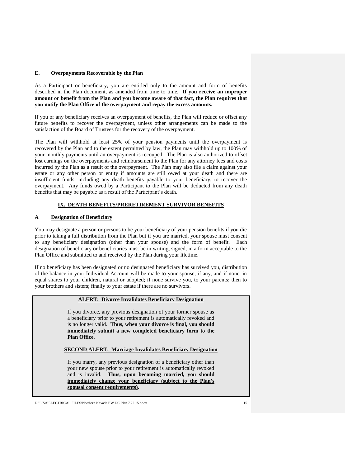#### **E. Overpayments Recoverable by the Plan**

As a Participant or beneficiary, you are entitled only to the amount and form of benefits described in the Plan document, as amended from time to time. **If you receive an improper amount or benefit from the Plan and you become aware of that fact, the Plan requires that you notify the Plan Office of the overpayment and repay the excess amounts.**

If you or any beneficiary receives an overpayment of benefits, the Plan will reduce or offset any future benefits to recover the overpayment, unless other arrangements can be made to the satisfaction of the Board of Trustees for the recovery of the overpayment.

The Plan will withhold at least 25% of your pension payments until the overpayment is recovered by the Plan and to the extent permitted by law, the Plan may withhold up to 100% of your monthly payments until an overpayment is recouped. The Plan is also authorized to offset lost earnings on the overpayments and reimbursement to the Plan for any attorney fees and costs incurred by the Plan as a result of the overpayment. The Plan may also file a claim against your estate or any other person or entity if amounts are still owed at your death and there are insufficient funds, including any death benefits payable to your beneficiary, to recover the overpayment. Any funds owed by a Participant to the Plan will be deducted from any death benefits that may be payable as a result of the Participant's death.

#### **IX. DEATH BENEFITS/PRERETIREMENT SURVIVOR BENEFITS**

#### **A Designation of Beneficiary**

You may designate a person or persons to be your beneficiary of your pension benefits if you die prior to taking a full distribution from the Plan but if you are married, your spouse must consent to any beneficiary designation (other than your spouse) and the form of benefit. Each designation of beneficiary or beneficiaries must be in writing, signed, in a form acceptable to the Plan Office and submitted to and received by the Plan during your lifetime.

If no beneficiary has been designated or no designated beneficiary has survived you, distribution of the balance in your Individual Account will be made to your spouse, if any, and if none, in equal shares to your children, natural or adopted; if none survive you, to your parents; then to your brothers and sisters; finally to your estate if there are no survivors.

#### **ALERT: Divorce Invalidates Beneficiary Designation**

If you divorce, any previous designation of your former spouse as a beneficiary prior to your retirement is automatically revoked and is no longer valid. **Thus, when your divorce is final, you should immediately submit a new completed beneficiary form to the Plan Office.**

#### **SECOND ALERT: Marriage Invalidates Beneficiary Designation**

If you marry, any previous designation of a beneficiary other than your new spouse prior to your retirement is automatically revoked and is invalid. **Thus, upon becoming married, you should immediately change your beneficiary (subject to the Plan's spousal consent requirements).**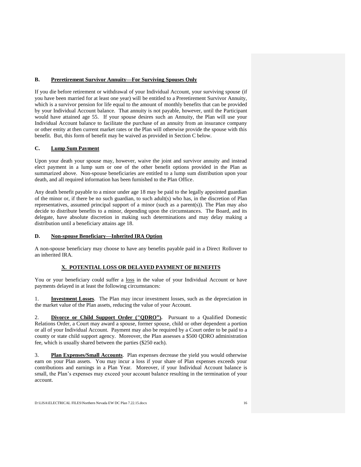#### **B. Preretirement Survivor Annuity—For Surviving Spouses Only**

If you die before retirement or withdrawal of your Individual Account, your surviving spouse (if you have been married for at least one year) will be entitled to a Preretirement Survivor Annuity, which is a survivor pension for life equal to the amount of monthly benefits that can be provided by your Individual Account balance. That annuity is not payable, however, until the Participant would have attained age 55. If your spouse desires such an Annuity, the Plan will use your Individual Account balance to facilitate the purchase of an annuity from an insurance company or other entity at then current market rates or the Plan will otherwise provide the spouse with this benefit. But, this form of benefit may be waived as provided in Section C below.

#### **C. Lump Sum Payment**

Upon your death your spouse may, however, waive the joint and survivor annuity and instead elect payment in a lump sum or one of the other benefit options provided in the Plan as summarized above. Non-spouse beneficiaries are entitled to a lump sum distribution upon your death, and all required information has been furnished to the Plan Office.

Any death benefit payable to a minor under age 18 may be paid to the legally appointed guardian of the minor or, if there be no such guardian, to such adult(s) who has, in the discretion of Plan representatives, assumed principal support of a minor (such as a parent(s)). The Plan may also decide to distribute benefits to a minor, depending upon the circumstances. The Board, and its delegate, have absolute discretion in making such determinations and may delay making a distribution until a beneficiary attains age 18.

#### **D. Non-spouse Beneficiary—Inherited IRA Option**

A non-spouse beneficiary may choose to have any benefits payable paid in a Direct Rollover to an inherited IRA.

#### **X. POTENTIAL LOSS OR DELAYED PAYMENT OF BENEFITS**

You or your beneficiary could suffer a loss in the value of your Individual Account or have payments delayed in at least the following circumstances:

1. **Investment Losses**. The Plan may incur investment losses, such as the depreciation in the market value of the Plan assets, reducing the value of your Account.

2. **Divorce or Child Support Order ("QDRO").** Pursuant to a Qualified Domestic Relations Order, a Court may award a spouse, former spouse, child or other dependent a portion or all of your Individual Account. Payment may also be required by a Court order to be paid to a county or state child support agency. Moreover, the Plan assesses a \$500 QDRO administration fee, which is usually shared between the parties (\$250 each).

3. **Plan Expenses/Small Accounts**. Plan expenses decrease the yield you would otherwise earn on your Plan assets. You may incur a loss if your share of Plan expenses exceeds your contributions and earnings in a Plan Year. Moreover, if your Individual Account balance is small, the Plan's expenses may exceed your account balance resulting in the termination of your account.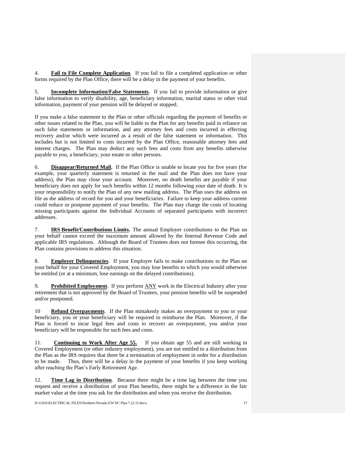4. **Fail to File Complete Application**. If you fail to file a completed application or other forms required by the Plan Office, there will be a delay in the payment of your benefits.

5. **Incomplete Information/False Statements**. If you fail to provide information or give false information to verify disability, age, beneficiary information, marital status or other vital information, payment of your pension will be delayed or stopped.

If you make a false statement to the Plan or other officials regarding the payment of benefits or other issues related to the Plan, you will be liable to the Plan for any benefits paid in reliance on such false statements or information, and any attorney fees and costs incurred in effecting recovery and/or which were incurred as a result of the false statement or information. This includes but is not limited to costs incurred by the Plan Office, reasonable attorney fees and interest charges. The Plan may deduct any such fees and costs from any benefits otherwise payable to you, a beneficiary, your estate or other persons.

6. **Disappear/Returned Mail.** If the Plan Office is unable to locate you for five years (for example, your quarterly statement is returned in the mail and the Plan does not have your address), the Plan may close your account. Moreover, no death benefits are payable if your beneficiary does not apply for such benefits within 12 months following your date of death. It is your responsibility to notify the Plan of any new mailing address. The Plan uses the address on file as the address of record for you and your beneficiaries. Failure to keep your address current could reduce or postpone payment of your benefits. The Plan may charge the costs of locating missing participants against the Individual Accounts of separated participants with incorrect addresses.

7. **IRS Benefit/Contributions Limits.** The annual Employer contributions to the Plan on your behalf cannot exceed the maximum amount allowed by the Internal Revenue Code and applicable IRS regulations. Although the Board of Trustees does not foresee this occurring, the Plan contains provisions to address this situation.

8. **Employer Delinquencies**. If your Employer fails to make contributions to the Plan on your behalf for your Covered Employment, you may lose benefits to which you would otherwise be entitled (or at a minimum, lose earnings on the delayed contributions).

9. **Prohibited Employment**. If you perform ANY work in the Electrical Industry after your retirement that is not approved by the Board of Trustees, your pension benefits will be suspended and/or postponed.

10 **Refund Overpayments**. If the Plan mistakenly makes an overpayment to you or your beneficiary, you or your beneficiary will be required to reimburse the Plan. Moreover, if the Plan is forced to incur legal fees and costs to recover an overpayment, you and/or your beneficiary will be responsible for such fees and costs.

11. **Continuing to Work After Age 55.** If you obtain age 55 and are still working in Covered Employment (or other industry employment), you are not entitled to a distribution from the Plan as the IRS requires that there be a termination of employment in order for a distribution to be made. Thus, there will be a delay in the payment of your benefits if you keep working after reaching the Plan's Early Retirement Age.

12. **Time Lag in Distribution**. Because there might be a time lag between the time you request and receive a distribution of your Plan benefits, there might be a difference in the fair market value at the time you ask for the distribution and when you receive the distribution.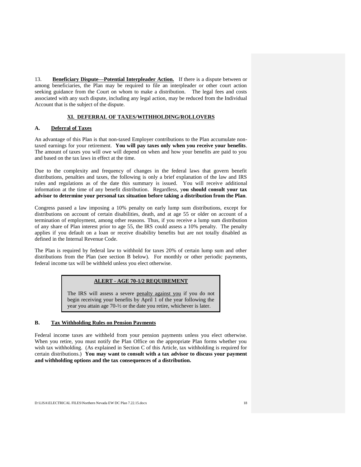13. **Beneficiary Dispute—Potential Interpleader Action.** If there is a dispute between or among beneficiaries, the Plan may be required to file an interpleader or other court action seeking guidance from the Court on whom to make a distribution. The legal fees and costs associated with any such dispute, including any legal action, may be reduced from the Individual Account that is the subject of the dispute.

#### **XI. DEFERRAL OF TAXES/WITHHOLDING/ROLLOVERS**

#### **A. Deferral of Taxes**

An advantage of this Plan is that non-taxed Employer contributions to the Plan accumulate nontaxed earnings for your retirement. **You will pay taxes only when you receive your benefits**. The amount of taxes you will owe will depend on when and how your benefits are paid to you and based on the tax laws in effect at the time.

Due to the complexity and frequency of changes in the federal laws that govern benefit distributions, penalties and taxes, the following is only a brief explanation of the law and IRS rules and regulations as of the date this summary is issued. You will receive additional information at the time of any benefit distribution. Regardless, y**ou should consult your tax advisor to determine your personal tax situation before taking a distribution from the Plan**.

Congress passed a law imposing a 10% penalty on early lump sum distributions, except for distributions on account of certain disabilities, death, and at age 55 or older on account of a termination of employment, among other reasons. Thus, if you receive a lump sum distribution of any share of Plan interest prior to age 55, the IRS could assess a 10% penalty. The penalty applies if you default on a loan or receive disability benefits but are not totally disabled as defined in the Internal Revenue Code.

The Plan is required by federal law to withhold for taxes 20% of certain lump sum and other distributions from the Plan (see section B below). For monthly or other periodic payments, federal income tax will be withheld unless you elect otherwise.

#### **ALERT - AGE 70-1/2 REQUIREMENT**

The IRS will assess a severe penalty against you if you do not begin receiving your benefits by April 1 of the year following the year you attain age 70-½ or the date you retire, whichever is later.

#### **B. Tax Withholding Rules on Pension Payments**

Federal income taxes are withheld from your pension payments unless you elect otherwise. When you retire, you must notify the Plan Office on the appropriate Plan forms whether you wish tax withholding. (As explained in Section C of this Article, tax withholding is required for certain distributions.) **You may want to consult with a tax advisor to discuss your payment and withholding options and the tax consequences of a distribution.**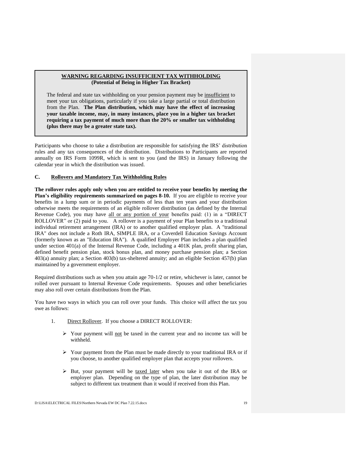#### **WARNING REGARDING INSUFFICIENT TAX WITHHOLDING (Potential of Being in Higher Tax Bracket)**

The federal and state tax withholding on your pension payment may be insufficient to meet your tax obligations, particularly if you take a large partial or total distribution from the Plan. **The Plan distribution, which may have the effect of increasing your taxable income, may, in many instances, place you in a higher tax bracket requiring a tax payment of much more than the 20% or smaller tax withholding (plus there may be a greater state tax).**

Participants who choose to take a distribution are responsible for satisfying the IRS' distribution rules and any tax consequences of the distribution. Distributions to Participants are reported annually on IRS Form 1099R, which is sent to you (and the IRS) in January following the calendar year in which the distribution was issued.

#### **C. Rollovers and Mandatory Tax Withholding Rules**

**The rollover rules apply only when you are entitled to receive your benefits by meeting the Plan's eligibility requirements summarized on pages 8-10.** If you are eligible to receive your benefits in a lump sum or in periodic payments of less than ten years and your distribution otherwise meets the requirements of an eligible rollover distribution (as defined by the Internal Revenue Code), you may have all or any portion of your benefits paid: (1) in a "DIRECT ROLLOVER" or (2) paid to you. A rollover is a payment of your Plan benefits to a traditional individual retirement arrangement (IRA) or to another qualified employer plan. A "traditional IRA" does not include a Roth IRA, SIMPLE IRA, or a Coverdell Education Savings Account (formerly known as an "Education IRA"). A qualified Employer Plan includes a plan qualified under section 401(a) of the Internal Revenue Code, including a 401K plan, profit sharing plan, defined benefit pension plan, stock bonus plan, and money purchase pension plan; a Section 403(a) annuity plan; a Section 403(b) tax-sheltered annuity; and an eligible Section 457(b) plan maintained by a government employer.

Required distributions such as when you attain age 70-1/2 or retire, whichever is later, cannot be rolled over pursuant to Internal Revenue Code requirements. Spouses and other beneficiaries may also roll over certain distributions from the Plan.

You have two ways in which you can roll over your funds. This choice will affect the tax you owe as follows:

- 1. Direct Rollover. If you choose a DIRECT ROLLOVER:
	- $\triangleright$  Your payment will <u>not</u> be taxed in the current year and no income tax will be withheld.
	- $\triangleright$  Your payment from the Plan must be made directly to your traditional IRA or if you choose, to another qualified employer plan that accepts your rollovers.
	- $\triangleright$  But, your payment will be taxed later when you take it out of the IRA or employer plan. Depending on the type of plan, the later distribution may be subject to different tax treatment than it would if received from this Plan.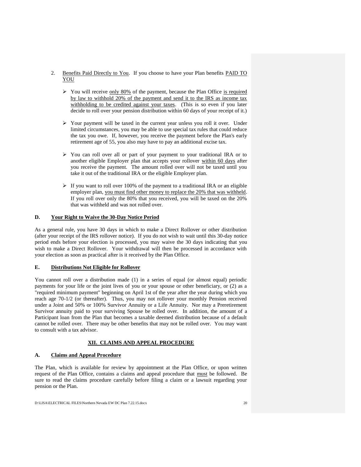- 2. Benefits Paid Directly to You. If you choose to have your Plan benefits PAID TO YOU
	- $\triangleright$  You will receive only 80% of the payment, because the Plan Office is required by law to withhold 20% of the payment and send it to the IRS as income tax withholding to be credited against your taxes. (This is so even if you later decide to roll over your pension distribution within 60 days of your receipt of it.)
	- $\triangleright$  Your payment will be taxed in the current year unless you roll it over. Under limited circumstances, you may be able to use special tax rules that could reduce the tax you owe. If, however, you receive the payment before the Plan's early retirement age of 55, you also may have to pay an additional excise tax.
	- You can roll over all or part of your payment to your traditional IRA or to another eligible Employer plan that accepts your rollover within 60 days after you receive the payment. The amount rolled over will not be taxed until you take it out of the traditional IRA or the eligible Employer plan.
	- $\triangleright$  If you want to roll over 100% of the payment to a traditional IRA or an eligible employer plan, you must find other money to replace the 20% that was withheld. If you roll over only the 80% that you received, you will be taxed on the 20% that was withheld and was not rolled over.

#### **D. Your Right to Waive the 30-Day Notice Period**

As a general rule, you have 30 days in which to make a Direct Rollover or other distribution (after your receipt of the IRS rollover notice). If you do not wish to wait until this 30-day notice period ends before your election is processed, you may waive the 30 days indicating that you wish to make a Direct Rollover. Your withdrawal will then be processed in accordance with your election as soon as practical after is it received by the Plan Office.

#### **E. Distributions Not Eligible for Rollover**

You cannot roll over a distribution made (1) in a series of equal (or almost equal) periodic payments for your life or the joint lives of you or your spouse or other beneficiary, or (2) as a "required minimum payment" beginning on April 1st of the year after the year during which you reach age 70-1/2 (or thereafter). Thus, you may not rollover your monthly Pension received under a Joint and 50% or 100% Survivor Annuity or a Life Annuity. Nor may a Preretirement Survivor annuity paid to your surviving Spouse be rolled over. In addition, the amount of a Participant loan from the Plan that becomes a taxable deemed distribution because of a default cannot be rolled over. There may be other benefits that may not be rolled over. You may want to consult with a tax advisor.

#### **XII. CLAIMS AND APPEAL PROCEDURE**

#### **A. Claims and Appeal Procedure**

The Plan, which is available for review by appointment at the Plan Office, or upon written request of the Plan Office, contains a claims and appeal procedure that must be followed. Be sure to read the claims procedure carefully before filing a claim or a lawsuit regarding your pension or the Plan.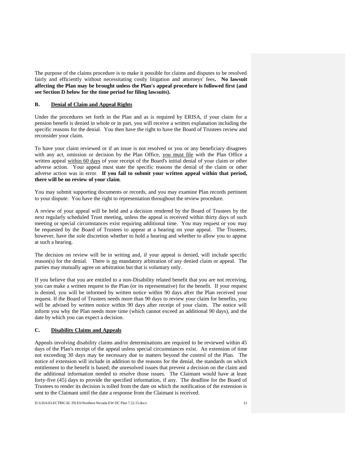The purpose of the claims procedure is to make it possible for claims and disputes to be resolved fairly and efficiently without necessitating costly litigation and attorneys' fees. No lawsuit **affecting the Plan may be brought unless the Plan's appeal procedure is followed first (and see Section D below for the time period for filing lawsuits).**

#### **B. Denial of Claim and Appeal Rights**

Under the procedures set forth in the Plan and as is required by ERISA, if your claim for a pension benefit is denied in whole or in part, you will receive a written explanation including the specific reasons for the denial. You then have the right to have the Board of Trustees review and reconsider your claim.

To have your claim reviewed or if an issue is not resolved or you or any beneficiary disagrees with any act, omission or decision by the Plan Office, you must file with the Plan Office a written appeal within 60 days of your receipt of the Board's initial denial of your claim or other adverse action. Your appeal must state the specific reasons the denial of the claim or other adverse action was in error. **If you fail to submit your written appeal within that period, there will be no review of your claim**.

You may submit supporting documents or records, and you may examine Plan records pertinent to your dispute. You have the right to representation throughout the review procedure.

A review of your appeal will be held and a decision rendered by the Board of Trustees by the next regularly scheduled Trust meeting, unless the appeal is received within thirty days of such meeting or special circumstances exist requiring additional time. You may request or you may be requested by the Board of Trustees to appear at a hearing on your appeal. The Trustees, however, have the sole discretion whether to hold a hearing and whether to allow you to appear at such a hearing.

The decision on review will be in writing and, if your appeal is denied, will include specific reason(s) for the denial. There is no mandatory arbitration of any denied claim or appeal. The parties may mutually agree on arbitration but that is voluntary only.

If you believe that you are entitled to a non-Disability related benefit that you are not receiving, you can make a written request to the Plan (or its representative) for the benefit. If your request is denied, you will be informed by written notice within 90 days after the Plan received your request. If the Board of Trustees needs more than 90 days to review your claim for benefits, you will be advised by written notice within 90 days after receipt of your claim. The notice will inform you why the Plan needs more time (which cannot exceed an additional 90 days), and the date by which you can expect a decision.

#### **C. Disability Claims and Appeals**

Appeals involving disability claims and/or determinations are required to be reviewed within 45 days of the Plan's receipt of the appeal unless special circumstances exist. An extension of time not exceeding 30 days may be necessary due to matters beyond the control of the Plan. The notice of extension will include in addition to the reasons for the denial, the standards on which entitlement to the benefit is based; the unresolved issues that prevent a decision on the claim and the additional information needed to resolve those issues. The Claimant would have at least forty-five (45) days to provide the specified information, if any. The deadline for the Board of Trustees to render its decision is tolled from the date on which the notification of the extension is sent to the Claimant until the date a response from the Claimant is received.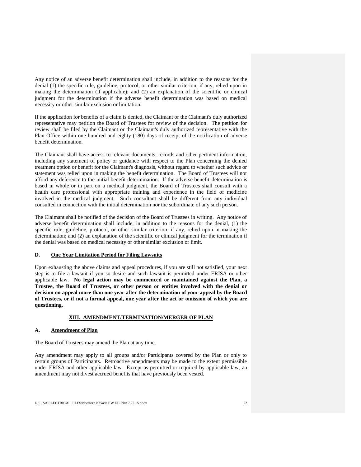Any notice of an adverse benefit determination shall include, in addition to the reasons for the denial (1) the specific rule, guideline, protocol, or other similar criterion, if any, relied upon in making the determination (if applicable); and (2) an explanation of the scientific or clinical judgment for the determination if the adverse benefit determination was based on medical necessity or other similar exclusion or limitation.

If the application for benefits of a claim is denied, the Claimant or the Claimant's duly authorized representative may petition the Board of Trustees for review of the decision. The petition for review shall be filed by the Claimant or the Claimant's duly authorized representative with the Plan Office within one hundred and eighty (180) days of receipt of the notification of adverse benefit determination.

The Claimant shall have access to relevant documents, records and other pertinent information, including any statement of policy or guidance with respect to the Plan concerning the denied treatment option or benefit for the Claimant's diagnosis, without regard to whether such advice or statement was relied upon in making the benefit determination. The Board of Trustees will not afford any deference to the initial benefit determination. If the adverse benefit determination is based in whole or in part on a medical judgment, the Board of Trustees shall consult with a health care professional with appropriate training and experience in the field of medicine involved in the medical judgment. Such consultant shall be different from any individual consulted in connection with the initial determination nor the subordinate of any such person.

The Claimant shall be notified of the decision of the Board of Trustees in writing. Any notice of adverse benefit determination shall include, in addition to the reasons for the denial, (1) the specific rule, guideline, protocol, or other similar criterion, if any, relied upon in making the determination; and (2) an explanation of the scientific or clinical judgment for the termination if the denial was based on medical necessity or other similar exclusion or limit.

#### **D. One Year Limitation Period for Filing Lawsuits**

Upon exhausting the above claims and appeal procedures, if you are still not satisfied, your next step is to file a lawsuit if you so desire and such lawsuit is permitted under ERISA or other applicable law. **No legal action may be commenced or maintained against the Plan, a Trustee, the Board of Trustees, or other person or entities involved with the denial or decision on appeal more than one year after the determination of your appeal by the Board of Trustees, or if not a formal appeal, one year after the act or omission of which you are questioning.**

#### **XIII. AMENDMENT/TERMINATION/MERGER OF PLAN**

#### **A. Amendment of Plan**

The Board of Trustees may amend the Plan at any time.

Any amendment may apply to all groups and/or Participants covered by the Plan or only to certain groups of Participants. Retroactive amendments may be made to the extent permissible under ERISA and other applicable law. Except as permitted or required by applicable law, an amendment may not divest accrued benefits that have previously been vested.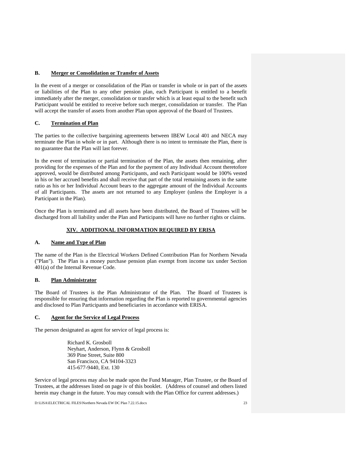#### **B. Merger or Consolidation or Transfer of Assets**

In the event of a merger or consolidation of the Plan or transfer in whole or in part of the assets or liabilities of the Plan to any other pension plan, each Participant is entitled to a benefit immediately after the merger, consolidation or transfer which is at least equal to the benefit such Participant would be entitled to receive before such merger, consolidation or transfer. The Plan will accept the transfer of assets from another Plan upon approval of the Board of Trustees.

#### **C. Termination of Plan**

The parties to the collective bargaining agreements between IBEW Local 401 and NECA may terminate the Plan in whole or in part. Although there is no intent to terminate the Plan, there is no guarantee that the Plan will last forever.

In the event of termination or partial termination of the Plan, the assets then remaining, after providing for the expenses of the Plan and for the payment of any Individual Account theretofore approved, would be distributed among Participants, and each Participant would be 100% vested in his or her accrued benefits and shall receive that part of the total remaining assets in the same ratio as his or her Individual Account bears to the aggregate amount of the Individual Accounts of all Participants. The assets are not returned to any Employer (unless the Employer is a Participant in the Plan).

Once the Plan is terminated and all assets have been distributed, the Board of Trustees will be discharged from all liability under the Plan and Participants will have no further rights or claims.

#### **XIV. ADDITIONAL INFORMATION REQUIRED BY ERISA**

#### **A. Name and Type of Plan**

The name of the Plan is the Electrical Workers Defined Contribution Plan for Northern Nevada ("Plan"). The Plan is a money purchase pension plan exempt from income tax under Section 401(a) of the Internal Revenue Code.

#### **B. Plan Administrator**

The Board of Trustees is the Plan Administrator of the Plan. The Board of Trustees is responsible for ensuring that information regarding the Plan is reported to governmental agencies and disclosed to Plan Participants and beneficiaries in accordance with ERISA.

#### **C. Agent for the Service of Legal Process**

The person designated as agent for service of legal process is:

Richard K. Grosboll Neyhart, Anderson, Flynn & Grosboll 369 Pine Street, Suite 800 San Francisco, CA 94104-3323 415-677-9440, Ext. 130

Service of legal process may also be made upon the Fund Manager, Plan Trustee, or the Board of Trustees, at the addresses listed on page iv of this booklet. (Address of counsel and others listed herein may change in the future. You may consult with the Plan Office for current addresses.)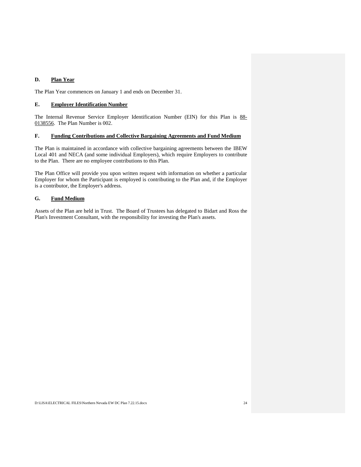#### **D. Plan Year**

The Plan Year commences on January 1 and ends on December 31.

#### **E. Employer Identification Number**

The Internal Revenue Service Employer Identification Number (EIN) for this Plan is 88-0138556. The Plan Number is 002.

#### **F. Funding Contributions and Collective Bargaining Agreements and Fund Medium**

The Plan is maintained in accordance with collective bargaining agreements between the IBEW Local 401 and NECA (and some individual Employers), which require Employers to contribute to the Plan. There are no employee contributions to this Plan.

The Plan Office will provide you upon written request with information on whether a particular Employer for whom the Participant is employed is contributing to the Plan and, if the Employer is a contributor, the Employer's address.

#### **G. Fund Medium**

Assets of the Plan are held in Trust. The Board of Trustees has delegated to Bidart and Ross the Plan's Investment Consultant, with the responsibility for investing the Plan's assets.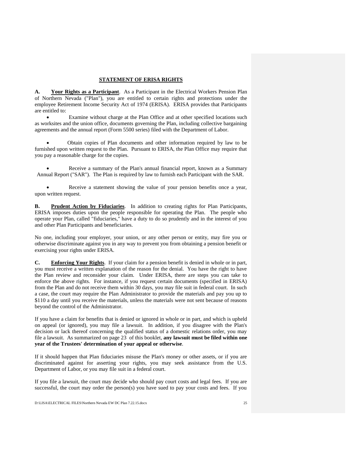#### **STATEMENT OF ERISA RIGHTS**

**A. Your Rights as a Participant**. As a Participant in the Electrical Workers Pension Plan of Northern Nevada ("Plan"), you are entitled to certain rights and protections under the employee Retirement Income Security Act of 1974 (ERISA). ERISA provides that Participants are entitled to:

 Examine without charge at the Plan Office and at other specified locations such as worksites and the union office, documents governing the Plan, including collective bargaining agreements and the annual report (Form 5500 series) filed with the Department of Labor.

 Obtain copies of Plan documents and other information required by law to be furnished upon written request to the Plan. Pursuant to ERISA, the Plan Office may require that you pay a reasonable charge for the copies.

 Receive a summary of the Plan's annual financial report, known as a Summary Annual Report ("SAR"). The Plan is required by law to furnish each Participant with the SAR.

 Receive a statement showing the value of your pension benefits once a year, upon written request.

**B. Prudent Action by Fiduciaries**. In addition to creating rights for Plan Participants, ERISA imposes duties upon the people responsible for operating the Plan. The people who operate your Plan, called "fiduciaries," have a duty to do so prudently and in the interest of you and other Plan Participants and beneficiaries.

No one, including your employer, your union, or any other person or entity, may fire you or otherwise discriminate against you in any way to prevent you from obtaining a pension benefit or exercising your rights under ERISA.

**C. Enforcing Your Rights**. If your claim for a pension benefit is denied in whole or in part, you must receive a written explanation of the reason for the denial. You have the right to have the Plan review and reconsider your claim. Under ERISA, there are steps you can take to enforce the above rights. For instance, if you request certain documents (specified in ERISA) from the Plan and do not receive them within 30 days, you may file suit in federal court. In such a case, the court may require the Plan Administrator to provide the materials and pay you up to \$110 a day until you receive the materials, unless the materials were not sent because of reasons beyond the control of the Administrator.

If you have a claim for benefits that is denied or ignored in whole or in part, and which is upheld on appeal (or ignored), you may file a lawsuit. In addition, if you disagree with the Plan's decision or lack thereof concerning the qualified status of a domestic relations order, you may file a lawsuit. As summarized on page 23 of this booklet, **any lawsuit must be filed within one year of the Trustees' determination of your appeal or otherwise**.

If it should happen that Plan fiduciaries misuse the Plan's money or other assets, or if you are discriminated against for asserting your rights, you may seek assistance from the U.S. Department of Labor, or you may file suit in a federal court.

If you file a lawsuit, the court may decide who should pay court costs and legal fees. If you are successful, the court may order the person(s) you have sued to pay your costs and fees. If you